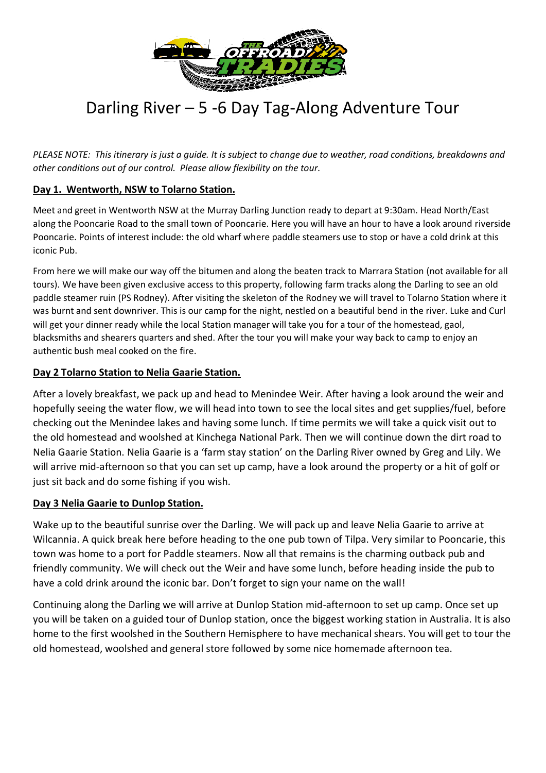

# Darling River – 5 -6 Day Tag-Along Adventure Tour

*PLEASE NOTE: This itinerary is just a guide. It is subject to change due to weather, road conditions, breakdowns and other conditions out of our control. Please allow flexibility on the tour.* 

## **Day 1. Wentworth, NSW to Tolarno Station.**

Meet and greet in Wentworth NSW at the Murray Darling Junction ready to depart at 9:30am. Head North/East along the Pooncarie Road to the small town of Pooncarie. Here you will have an hour to have a look around riverside Pooncarie. Points of interest include: the old wharf where paddle steamers use to stop or have a cold drink at this iconic Pub.

From here we will make our way off the bitumen and along the beaten track to Marrara Station (not available for all tours). We have been given exclusive access to this property, following farm tracks along the Darling to see an old paddle steamer ruin (PS Rodney). After visiting the skeleton of the Rodney we will travel to Tolarno Station where it was burnt and sent downriver. This is our camp for the night, nestled on a beautiful bend in the river. Luke and Curl will get your dinner ready while the local Station manager will take you for a tour of the homestead, gaol, blacksmiths and shearers quarters and shed. After the tour you will make your way back to camp to enjoy an authentic bush meal cooked on the fire.

## **Day 2 Tolarno Station to Nelia Gaarie Station.**

After a lovely breakfast, we pack up and head to Menindee Weir. After having a look around the weir and hopefully seeing the water flow, we will head into town to see the local sites and get supplies/fuel, before checking out the Menindee lakes and having some lunch. If time permits we will take a quick visit out to the old homestead and woolshed at Kinchega National Park. Then we will continue down the dirt road to Nelia Gaarie Station. Nelia Gaarie is a 'farm stay station' on the Darling River owned by Greg and Lily. We will arrive mid-afternoon so that you can set up camp, have a look around the property or a hit of golf or just sit back and do some fishing if you wish.

#### **Day 3 Nelia Gaarie to Dunlop Station.**

Wake up to the beautiful sunrise over the Darling. We will pack up and leave Nelia Gaarie to arrive at Wilcannia. A quick break here before heading to the one pub town of Tilpa. Very similar to Pooncarie, this town was home to a port for Paddle steamers. Now all that remains is the charming outback pub and friendly community. We will check out the Weir and have some lunch, before heading inside the pub to have a cold drink around the iconic bar. Don't forget to sign your name on the wall!

Continuing along the Darling we will arrive at Dunlop Station mid-afternoon to set up camp. Once set up you will be taken on a guided tour of Dunlop station, once the biggest working station in Australia. It is also home to the first woolshed in the Southern Hemisphere to have mechanical shears. You will get to tour the old homestead, woolshed and general store followed by some nice homemade afternoon tea.